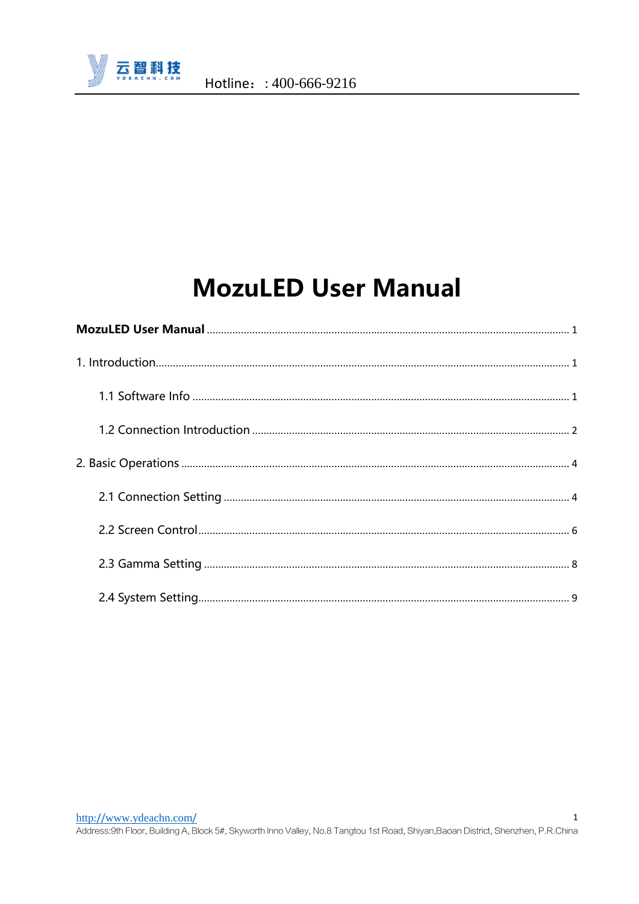

# **MozuLED User Manual**

<span id="page-0-0"></span>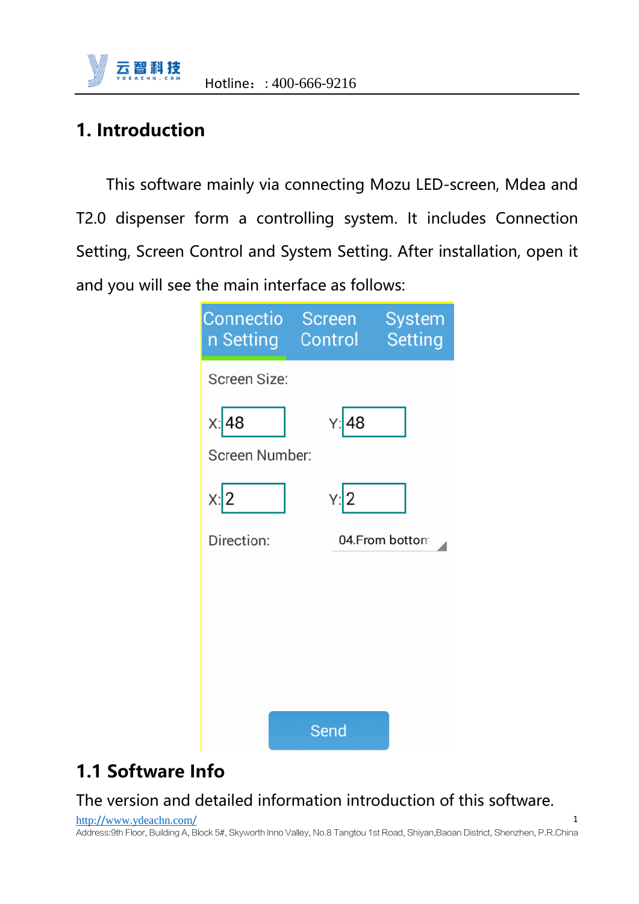

### <span id="page-1-0"></span>**1. Introduction**

This software mainly via connecting Mozu LED-screen, Mdea and T2.0 dispenser form a controlling system. It includes Connection Setting, Screen Control and System Setting. After installation, open it and you will see the main interface as follows:

| Connectio<br>n Setting    | <b>Screen</b><br>Control | System<br><b>Setting</b> |
|---------------------------|--------------------------|--------------------------|
| Screen Size:              |                          |                          |
| $x$ :48<br>Screen Number: | Y: 48                    |                          |
| x:2                       | Y:2                      |                          |
| Direction:                |                          | 04.From bottom           |
|                           |                          |                          |
|                           |                          |                          |
|                           |                          |                          |
|                           |                          |                          |
|                           | Send                     |                          |

### <span id="page-1-1"></span>**1.1 Software Info**

### The version and detailed information introduction of this software.

http://www.[ydeachn](http://www.ydeachn.com/).com/ Address:9th Floor, Building A, Block 5#, Skyworth lnno Valley, No.8 Tangtou 1st Road, Shiyan,Baoan District, Shenzhen, P.R.China 1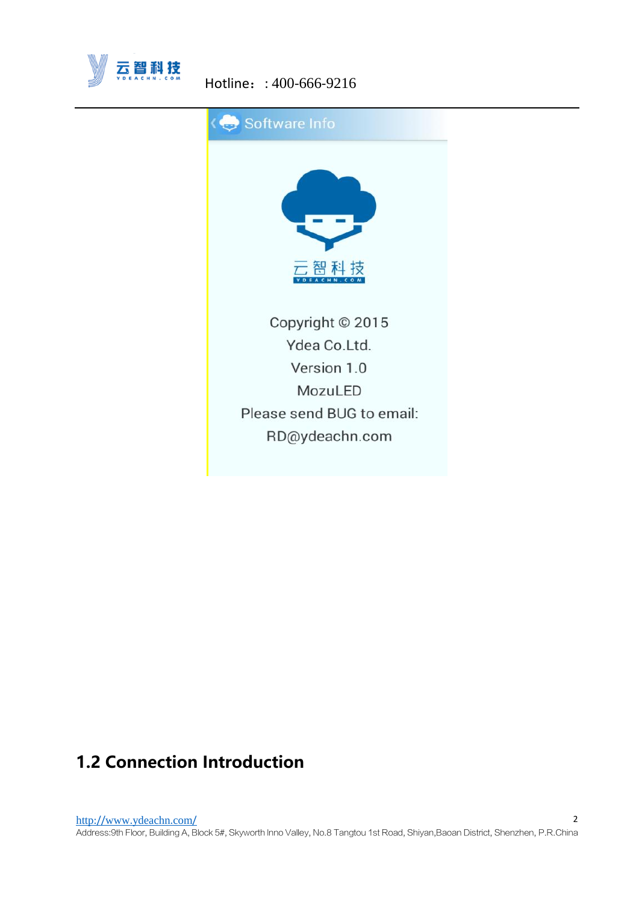

#### Hotline: : 400-666-9216



### <span id="page-2-0"></span>**1.2 Connection Introduction**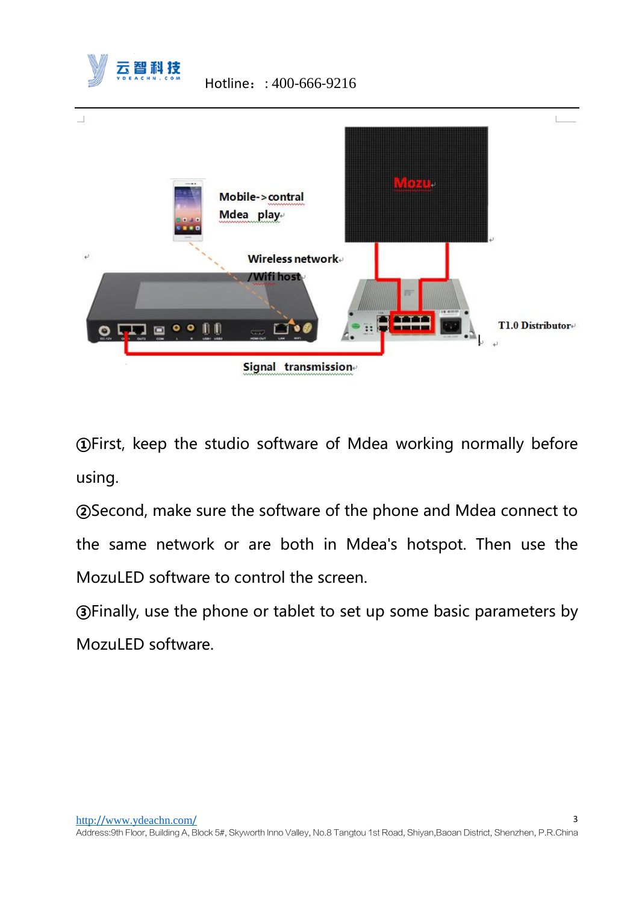

**①**First, keep the studio software of Mdea working normally before using.

**②**Second, make sure the software of the phone and Mdea connect to the same network or are both in Mdea's hotspot. Then use the MozuLED software to control the screen.

**③**Finally, use the phone or tablet to set up some basic parameters by MozuLED software.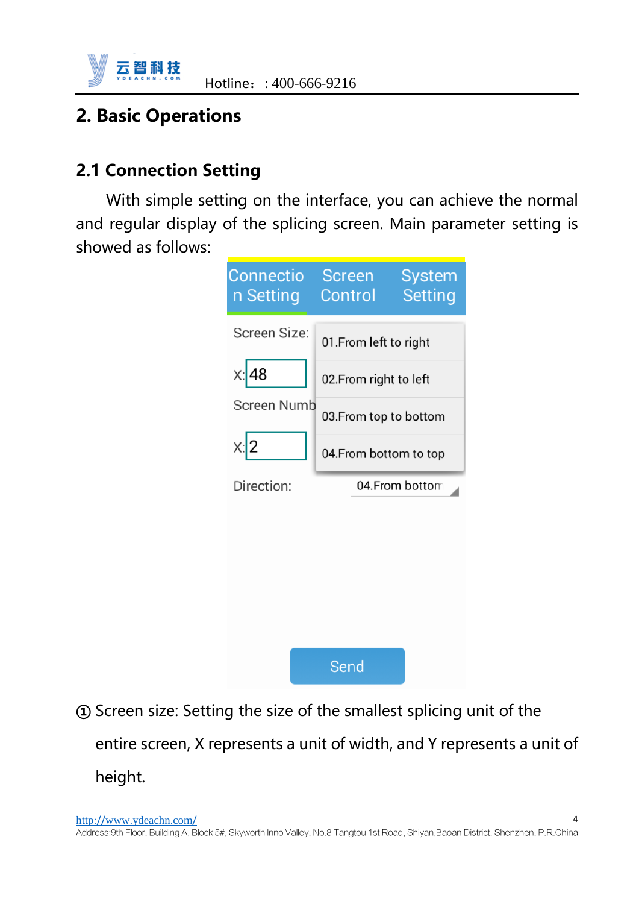

### <span id="page-4-0"></span>**2. Basic Operations**

### <span id="page-4-1"></span>**2.1 Connection Setting**

With simple setting on the interface, you can achieve the normal and regular display of the splicing screen. Main parameter setting is showed as follows:



**①** Screen size: Setting the size of the smallest splicing unit of the entire screen, X represents a unit of width, and Y represents a unit of height.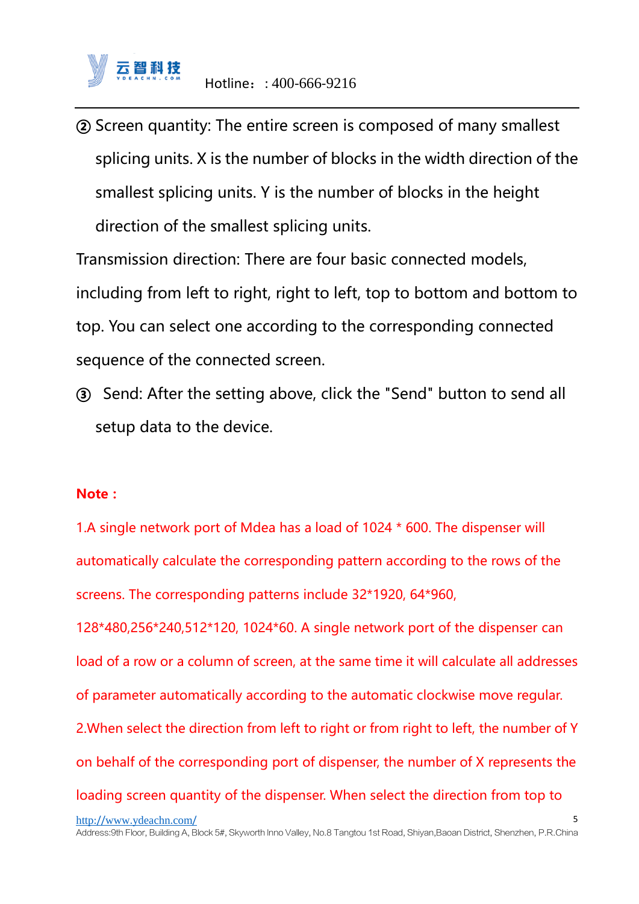**②** Screen quantity: The entire screen is composed of many smallest splicing units. X is the number of blocks in the width direction of the smallest splicing units. Y is the number of blocks in the height direction of the smallest splicing units.

Transmission direction: There are four basic connected models, including from left to right, right to left, top to bottom and bottom to top. You can select one according to the corresponding connected sequence of the connected screen.

**③** Send: After the setting above, click the "Send" button to send all setup data to the device.

#### **Note:**

1.A single network port of Mdea has a load of 1024 \* 600. The dispenser will automatically calculate the corresponding pattern according to the rows of the screens. The corresponding patterns include 32\*1920, 64\*960,

128\*480,256\*240,512\*120, 1024\*60. A single network port of the dispenser can load of a row or a column of screen, at the same time it will calculate all addresses of parameter automatically according to the automatic clockwise move regular. 2.When select the direction from left to right or from right to left, the number of Y on behalf of the corresponding port of dispenser, the number of X represents the loading screen quantity of the dispenser. When select the direction from top to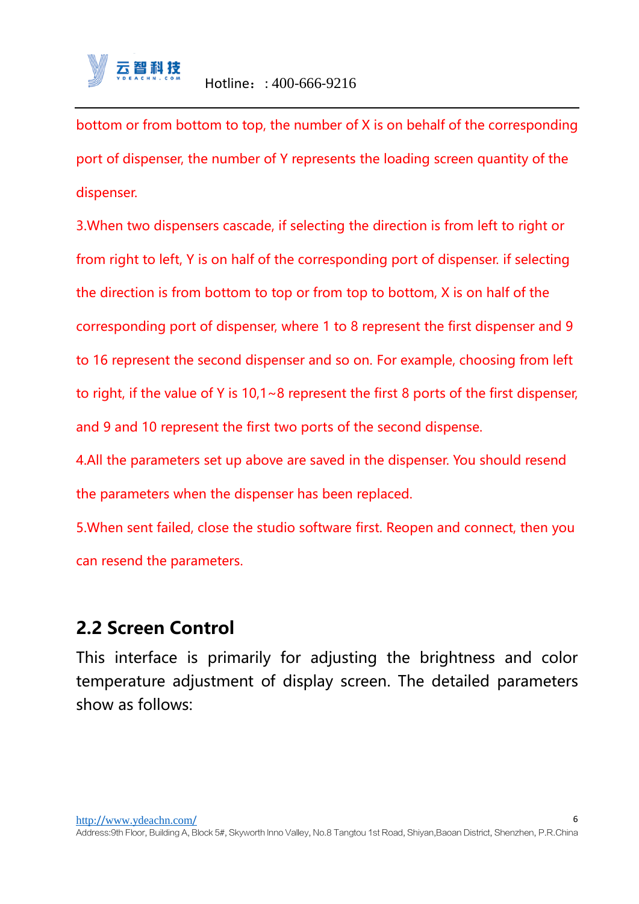

bottom or from bottom to top, the number of X is on behalf of the corresponding port of dispenser, the number of Y represents the loading screen quantity of the dispenser.

3.When two dispensers cascade, if selecting the direction is from left to right or from right to left, Y is on half of the corresponding port of dispenser. if selecting the direction is from bottom to top or from top to bottom, X is on half of the corresponding port of dispenser, where 1 to 8 represent the first dispenser and 9 to 16 represent the second dispenser and so on. For example, choosing from left to right, if the value of Y is 10,1~8 represent the first 8 ports of the first dispenser, and 9 and 10 represent the first two ports of the second dispense.

4.All the parameters set up above are saved in the dispenser. You should resend the parameters when the dispenser has been replaced.

5.When sent failed, close the studio software first. Reopen and connect, then you can resend the parameters.

### <span id="page-6-0"></span>**2.2 Screen Control**

This interface is primarily for adjusting the brightness and color temperature adjustment of display screen. The detailed parameters show as follows: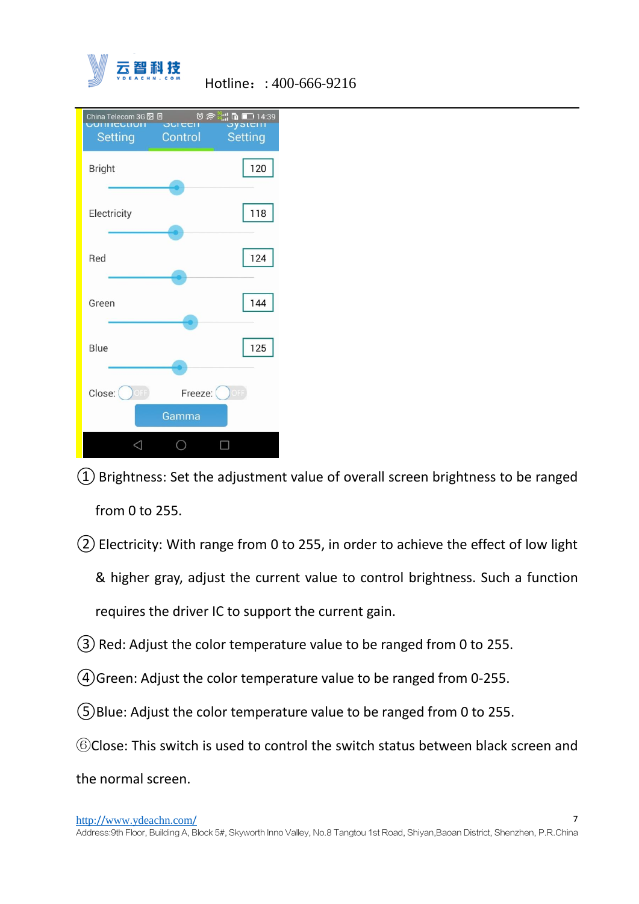



 $(1)$  Brightness: Set the adjustment value of overall screen brightness to be ranged from 0 to 255.

②Electricity: With range from 0 to 255, in order to achieve the effect of low light & higher gray, adjust the current value to control brightness. Such a function

requires the driver IC to support the current gain.

- $(3)$  Red: Adjust the color temperature value to be ranged from 0 to 255.
- $(4)$  Green: Adjust the color temperature value to be ranged from 0-255.

 $(5)$ Blue: Adjust the color temperature value to be ranged from 0 to 255.

⑥Close: This switch is used to control the switch status between black screen and

the normal screen.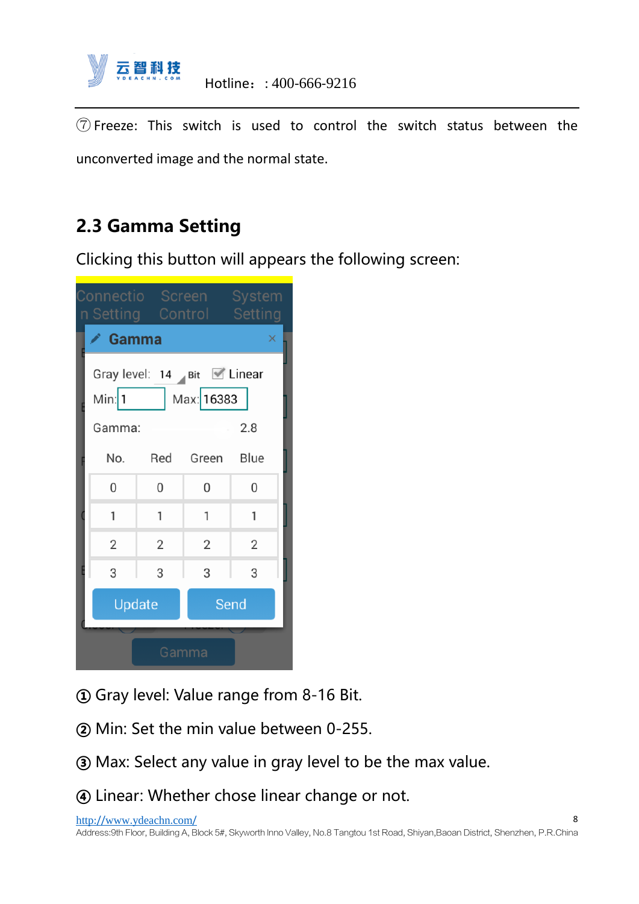

⑦ Freeze: This switch is used to control the switch status between the unconverted image and the normal state.

## <span id="page-8-0"></span>**2.3 Gamma Setting**

Clicking this button will appears the following screen:

| Connectio Screen System<br>n Setting Control Setting                                  |                |                |                |   |  |  |
|---------------------------------------------------------------------------------------|----------------|----------------|----------------|---|--|--|
|                                                                                       | Gamma          |                |                |   |  |  |
| Gray level: $14$ Bit $\blacksquare$ Linear<br>Max: 16383<br>Min: $1$<br>2.8<br>Gamma: |                |                |                |   |  |  |
|                                                                                       | No.            |                | Red Green Blue |   |  |  |
|                                                                                       | 0              | 0              | 0              | 0 |  |  |
|                                                                                       | 1              | 1              | 1              | 1 |  |  |
|                                                                                       | $\overline{2}$ | $\overline{2}$ | $\overline{2}$ | 2 |  |  |
|                                                                                       | 3              | 3              | 3              | 3 |  |  |
|                                                                                       | Update         |                | Send           |   |  |  |
| Gamma                                                                                 |                |                |                |   |  |  |

- **①** Gray level: Value range from 8-16 Bit.
- **②** Min: Set the min value between 0-255.
- **③** Max: Select any value in gray level to be the max value.
- **④** Linear: Whether chose linear change or not.

http://www.[ydeachn](http://www.ydeachn.com/).com/ Address:9th Floor, Building A, Block 5#, Skyworth lnno Valley, No.8 Tangtou 1st Road, Shiyan,Baoan District, Shenzhen, P.R.China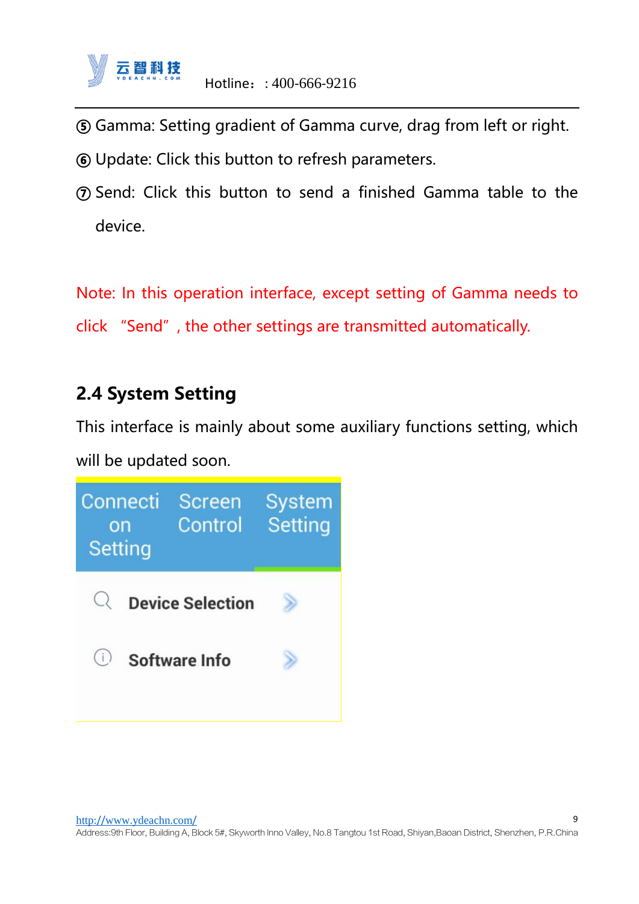

- **⑤** Gamma: Setting gradient of Gamma curve, drag from left or right.
- **⑥** Update: Click this button to refresh parameters.
- **⑦** Send: Click this button to send a finished Gamma table to the device.

Note: In this operation interface, except setting of Gamma needs to click "Send", the other settings are transmitted automatically.

### <span id="page-9-0"></span>**2.4 System Setting**

This interface is mainly about some auxiliary functions setting, which will be updated soon.